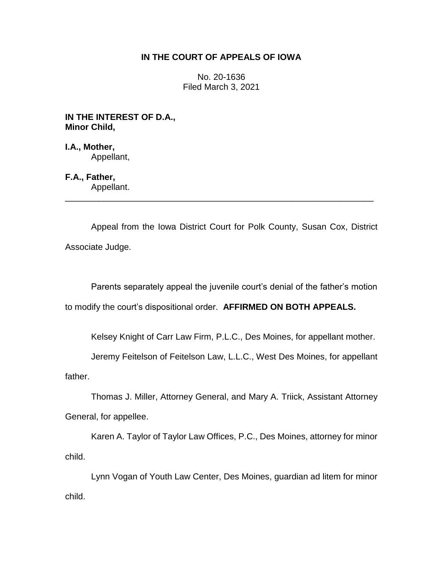## **IN THE COURT OF APPEALS OF IOWA**

No. 20-1636 Filed March 3, 2021

**IN THE INTEREST OF D.A., Minor Child,**

**I.A., Mother,** Appellant,

**F.A., Father,**

Appellant. \_\_\_\_\_\_\_\_\_\_\_\_\_\_\_\_\_\_\_\_\_\_\_\_\_\_\_\_\_\_\_\_\_\_\_\_\_\_\_\_\_\_\_\_\_\_\_\_\_\_\_\_\_\_\_\_\_\_\_\_\_\_\_\_

Appeal from the Iowa District Court for Polk County, Susan Cox, District Associate Judge.

Parents separately appeal the juvenile court's denial of the father's motion

to modify the court's dispositional order. **AFFIRMED ON BOTH APPEALS.** 

Kelsey Knight of Carr Law Firm, P.L.C., Des Moines, for appellant mother.

Jeremy Feitelson of Feitelson Law, L.L.C., West Des Moines, for appellant

father.

Thomas J. Miller, Attorney General, and Mary A. Triick, Assistant Attorney General, for appellee.

Karen A. Taylor of Taylor Law Offices, P.C., Des Moines, attorney for minor child.

Lynn Vogan of Youth Law Center, Des Moines, guardian ad litem for minor child.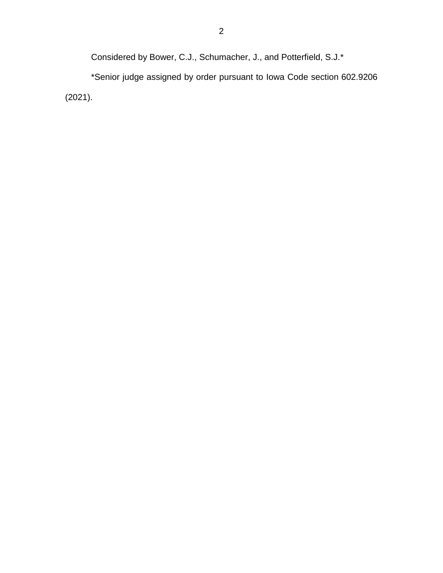Considered by Bower, C.J., Schumacher, J., and Potterfield, S.J.\*

\*Senior judge assigned by order pursuant to Iowa Code section 602.9206 (2021).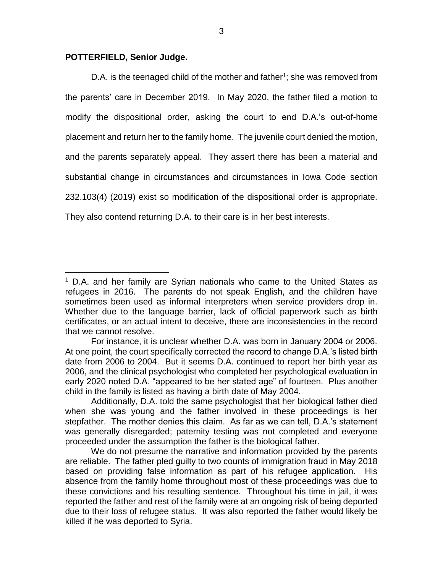## **POTTERFIELD, Senior Judge.**

 $\overline{a}$ 

D.A. is the teenaged child of the mother and father<sup>1</sup>; she was removed from the parents' care in December 2019. In May 2020, the father filed a motion to modify the dispositional order, asking the court to end D.A.'s out-of-home placement and return her to the family home. The juvenile court denied the motion, and the parents separately appeal. They assert there has been a material and substantial change in circumstances and circumstances in Iowa Code section 232.103(4) (2019) exist so modification of the dispositional order is appropriate. They also contend returning D.A. to their care is in her best interests.

<sup>&</sup>lt;sup>1</sup> D.A. and her family are Syrian nationals who came to the United States as refugees in 2016. The parents do not speak English, and the children have sometimes been used as informal interpreters when service providers drop in. Whether due to the language barrier, lack of official paperwork such as birth certificates, or an actual intent to deceive, there are inconsistencies in the record that we cannot resolve.

For instance, it is unclear whether D.A. was born in January 2004 or 2006. At one point, the court specifically corrected the record to change D.A.'s listed birth date from 2006 to 2004. But it seems D.A. continued to report her birth year as 2006, and the clinical psychologist who completed her psychological evaluation in early 2020 noted D.A. "appeared to be her stated age" of fourteen. Plus another child in the family is listed as having a birth date of May 2004.

Additionally, D.A. told the same psychologist that her biological father died when she was young and the father involved in these proceedings is her stepfather. The mother denies this claim. As far as we can tell, D.A.'s statement was generally disregarded; paternity testing was not completed and everyone proceeded under the assumption the father is the biological father.

We do not presume the narrative and information provided by the parents are reliable. The father pled guilty to two counts of immigration fraud in May 2018 based on providing false information as part of his refugee application. His absence from the family home throughout most of these proceedings was due to these convictions and his resulting sentence. Throughout his time in jail, it was reported the father and rest of the family were at an ongoing risk of being deported due to their loss of refugee status. It was also reported the father would likely be killed if he was deported to Syria.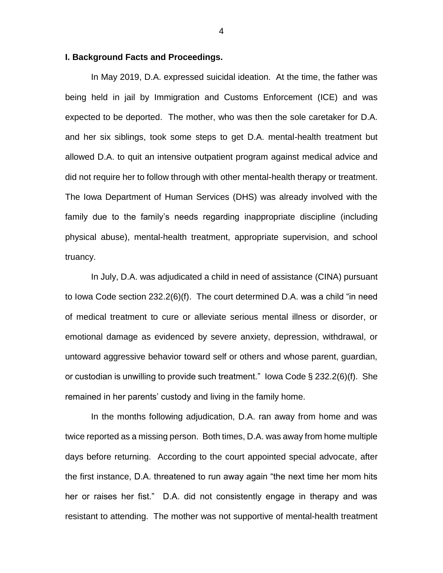## **I. Background Facts and Proceedings.**

In May 2019, D.A. expressed suicidal ideation. At the time, the father was being held in jail by Immigration and Customs Enforcement (ICE) and was expected to be deported. The mother, who was then the sole caretaker for D.A. and her six siblings, took some steps to get D.A. mental-health treatment but allowed D.A. to quit an intensive outpatient program against medical advice and did not require her to follow through with other mental-health therapy or treatment. The Iowa Department of Human Services (DHS) was already involved with the family due to the family's needs regarding inappropriate discipline (including physical abuse), mental-health treatment, appropriate supervision, and school truancy.

In July, D.A. was adjudicated a child in need of assistance (CINA) pursuant to Iowa Code section 232.2(6)(f). The court determined D.A. was a child "in need of medical treatment to cure or alleviate serious mental illness or disorder, or emotional damage as evidenced by severe anxiety, depression, withdrawal, or untoward aggressive behavior toward self or others and whose parent, guardian, or custodian is unwilling to provide such treatment." Iowa Code § 232.2(6)(f). She remained in her parents' custody and living in the family home.

In the months following adjudication, D.A. ran away from home and was twice reported as a missing person. Both times, D.A. was away from home multiple days before returning. According to the court appointed special advocate, after the first instance, D.A. threatened to run away again "the next time her mom hits her or raises her fist." D.A. did not consistently engage in therapy and was resistant to attending. The mother was not supportive of mental-health treatment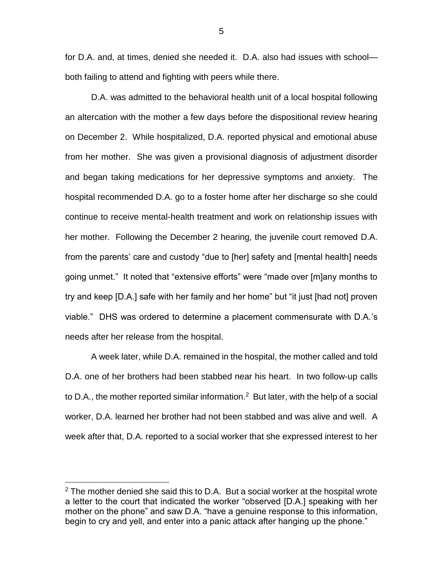for D.A. and, at times, denied she needed it. D.A. also had issues with school both failing to attend and fighting with peers while there.

D.A. was admitted to the behavioral health unit of a local hospital following an altercation with the mother a few days before the dispositional review hearing on December 2. While hospitalized, D.A. reported physical and emotional abuse from her mother. She was given a provisional diagnosis of adjustment disorder and began taking medications for her depressive symptoms and anxiety. The hospital recommended D.A. go to a foster home after her discharge so she could continue to receive mental-health treatment and work on relationship issues with her mother. Following the December 2 hearing, the juvenile court removed D.A. from the parents' care and custody "due to [her] safety and [mental health] needs going unmet." It noted that "extensive efforts" were "made over [m]any months to try and keep [D.A.] safe with her family and her home" but "it just [had not] proven viable." DHS was ordered to determine a placement commensurate with D.A.'s needs after her release from the hospital.

A week later, while D.A. remained in the hospital, the mother called and told D.A. one of her brothers had been stabbed near his heart. In two follow-up calls to D.A., the mother reported similar information.<sup>2</sup> But later, with the help of a social worker, D.A. learned her brother had not been stabbed and was alive and well. A week after that, D.A. reported to a social worker that she expressed interest to her

 $2$  The mother denied she said this to D.A. But a social worker at the hospital wrote a letter to the court that indicated the worker "observed [D.A.] speaking with her mother on the phone" and saw D.A. "have a genuine response to this information, begin to cry and yell, and enter into a panic attack after hanging up the phone."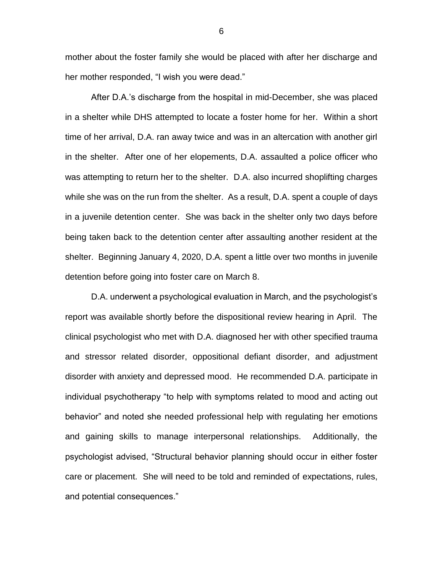mother about the foster family she would be placed with after her discharge and her mother responded, "I wish you were dead."

After D.A.'s discharge from the hospital in mid-December, she was placed in a shelter while DHS attempted to locate a foster home for her. Within a short time of her arrival, D.A. ran away twice and was in an altercation with another girl in the shelter. After one of her elopements, D.A. assaulted a police officer who was attempting to return her to the shelter. D.A. also incurred shoplifting charges while she was on the run from the shelter. As a result, D.A. spent a couple of days in a juvenile detention center. She was back in the shelter only two days before being taken back to the detention center after assaulting another resident at the shelter. Beginning January 4, 2020, D.A. spent a little over two months in juvenile detention before going into foster care on March 8.

D.A. underwent a psychological evaluation in March, and the psychologist's report was available shortly before the dispositional review hearing in April. The clinical psychologist who met with D.A. diagnosed her with other specified trauma and stressor related disorder, oppositional defiant disorder, and adjustment disorder with anxiety and depressed mood. He recommended D.A. participate in individual psychotherapy "to help with symptoms related to mood and acting out behavior" and noted she needed professional help with regulating her emotions and gaining skills to manage interpersonal relationships. Additionally, the psychologist advised, "Structural behavior planning should occur in either foster care or placement. She will need to be told and reminded of expectations, rules, and potential consequences."

6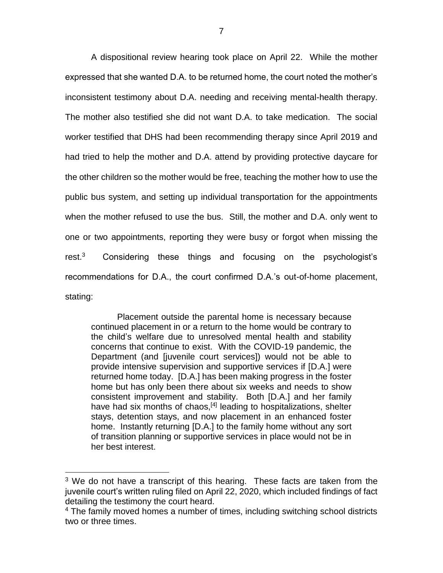A dispositional review hearing took place on April 22. While the mother expressed that she wanted D.A. to be returned home, the court noted the mother's inconsistent testimony about D.A. needing and receiving mental-health therapy. The mother also testified she did not want D.A. to take medication. The social worker testified that DHS had been recommending therapy since April 2019 and had tried to help the mother and D.A. attend by providing protective daycare for the other children so the mother would be free, teaching the mother how to use the public bus system, and setting up individual transportation for the appointments when the mother refused to use the bus. Still, the mother and D.A. only went to one or two appointments, reporting they were busy or forgot when missing the rest.<sup>3</sup> Considering these things and focusing on the psychologist's recommendations for D.A., the court confirmed D.A.'s out-of-home placement, stating:

Placement outside the parental home is necessary because continued placement in or a return to the home would be contrary to the child's welfare due to unresolved mental health and stability concerns that continue to exist. With the COVID-19 pandemic, the Department (and [juvenile court services]) would not be able to provide intensive supervision and supportive services if [D.A.] were returned home today. [D.A.] has been making progress in the foster home but has only been there about six weeks and needs to show consistent improvement and stability. Both [D.A.] and her family have had six months of chaos,<sup>[4]</sup> leading to hospitalizations, shelter stays, detention stays, and now placement in an enhanced foster home. Instantly returning [D.A.] to the family home without any sort of transition planning or supportive services in place would not be in her best interest.

<sup>&</sup>lt;sup>3</sup> We do not have a transcript of this hearing. These facts are taken from the juvenile court's written ruling filed on April 22, 2020, which included findings of fact detailing the testimony the court heard.

<sup>&</sup>lt;sup>4</sup> The family moved homes a number of times, including switching school districts two or three times.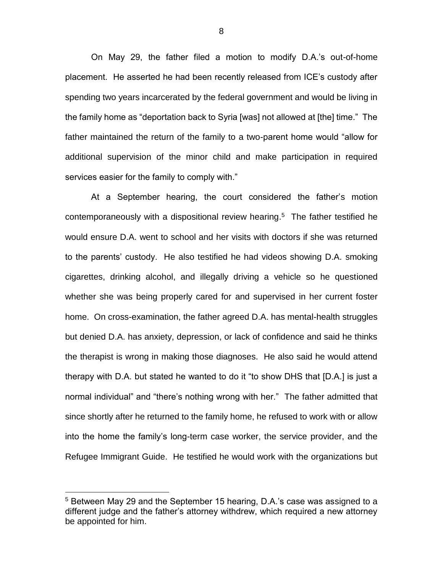On May 29, the father filed a motion to modify D.A.'s out-of-home placement. He asserted he had been recently released from ICE's custody after spending two years incarcerated by the federal government and would be living in the family home as "deportation back to Syria [was] not allowed at [the] time." The father maintained the return of the family to a two-parent home would "allow for additional supervision of the minor child and make participation in required services easier for the family to comply with."

At a September hearing, the court considered the father's motion contemporaneously with a dispositional review hearing. 5 The father testified he would ensure D.A. went to school and her visits with doctors if she was returned to the parents' custody. He also testified he had videos showing D.A. smoking cigarettes, drinking alcohol, and illegally driving a vehicle so he questioned whether she was being properly cared for and supervised in her current foster home. On cross-examination, the father agreed D.A. has mental-health struggles but denied D.A. has anxiety, depression, or lack of confidence and said he thinks the therapist is wrong in making those diagnoses. He also said he would attend therapy with D.A. but stated he wanted to do it "to show DHS that [D.A.] is just a normal individual" and "there's nothing wrong with her." The father admitted that since shortly after he returned to the family home, he refused to work with or allow into the home the family's long-term case worker, the service provider, and the Refugee Immigrant Guide. He testified he would work with the organizations but

<sup>&</sup>lt;sup>5</sup> Between May 29 and the September 15 hearing, D.A.'s case was assigned to a different judge and the father's attorney withdrew, which required a new attorney be appointed for him.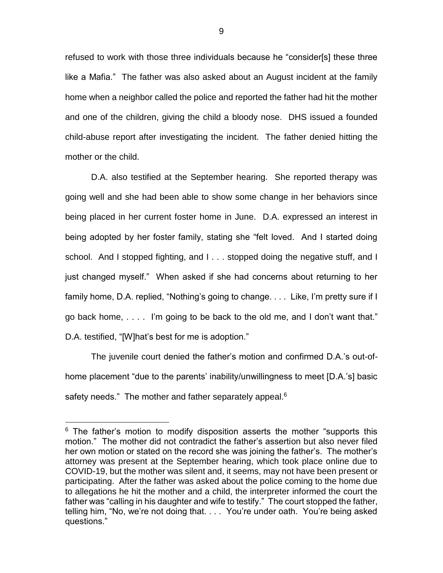refused to work with those three individuals because he "consider[s] these three like a Mafia." The father was also asked about an August incident at the family home when a neighbor called the police and reported the father had hit the mother and one of the children, giving the child a bloody nose. DHS issued a founded child-abuse report after investigating the incident. The father denied hitting the mother or the child.

D.A. also testified at the September hearing. She reported therapy was going well and she had been able to show some change in her behaviors since being placed in her current foster home in June. D.A. expressed an interest in being adopted by her foster family, stating she "felt loved. And I started doing school. And I stopped fighting, and I . . . stopped doing the negative stuff, and I just changed myself." When asked if she had concerns about returning to her family home, D.A. replied, "Nothing's going to change. . . . Like, I'm pretty sure if I go back home, . . . . I'm going to be back to the old me, and I don't want that." D.A. testified, "[W]hat's best for me is adoption."

The juvenile court denied the father's motion and confirmed D.A.'s out-ofhome placement "due to the parents' inability/unwillingness to meet [D.A.'s] basic safety needs." The mother and father separately appeal.<sup>6</sup>

 $6$  The father's motion to modify disposition asserts the mother "supports this motion." The mother did not contradict the father's assertion but also never filed her own motion or stated on the record she was joining the father's. The mother's attorney was present at the September hearing, which took place online due to COVID-19, but the mother was silent and, it seems, may not have been present or participating. After the father was asked about the police coming to the home due to allegations he hit the mother and a child, the interpreter informed the court the father was "calling in his daughter and wife to testify." The court stopped the father, telling him, "No, we're not doing that. . . . You're under oath. You're being asked questions."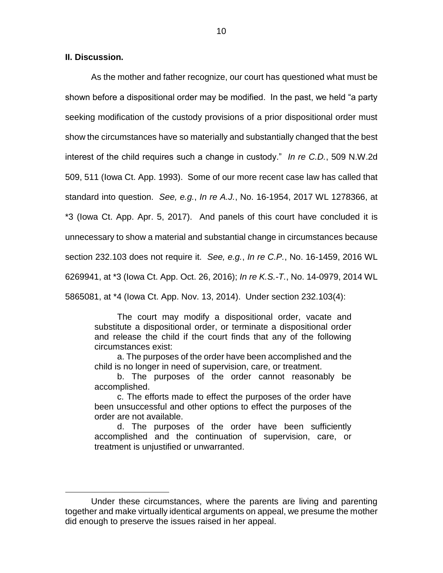$\overline{a}$ 

As the mother and father recognize, our court has questioned what must be shown before a dispositional order may be modified. In the past, we held "a party seeking modification of the custody provisions of a prior dispositional order must show the circumstances have so materially and substantially changed that the best interest of the child requires such a change in custody." *In re C.D.*, 509 N.W.2d 509, 511 (Iowa Ct. App. 1993). Some of our more recent case law has called that standard into question. *See, e.g.*, *In re A.J.*, No. 16-1954, 2017 WL 1278366, at \*3 (Iowa Ct. App. Apr. 5, 2017). And panels of this court have concluded it is unnecessary to show a material and substantial change in circumstances because section 232.103 does not require it. *See, e.g.*, *In re C.P.*, No. 16-1459, 2016 WL 6269941, at \*3 (Iowa Ct. App. Oct. 26, 2016); *In re K.S.-T.*, No. 14-0979, 2014 WL 5865081, at \*4 (Iowa Ct. App. Nov. 13, 2014). Under section 232.103(4):

The court may modify a dispositional order, vacate and substitute a dispositional order, or terminate a dispositional order and release the child if the court finds that any of the following circumstances exist:

a. The purposes of the order have been accomplished and the child is no longer in need of supervision, care, or treatment.

b. The purposes of the order cannot reasonably be accomplished.

c. The efforts made to effect the purposes of the order have been unsuccessful and other options to effect the purposes of the order are not available.

d. The purposes of the order have been sufficiently accomplished and the continuation of supervision, care, or treatment is unjustified or unwarranted.

Under these circumstances, where the parents are living and parenting together and make virtually identical arguments on appeal, we presume the mother did enough to preserve the issues raised in her appeal.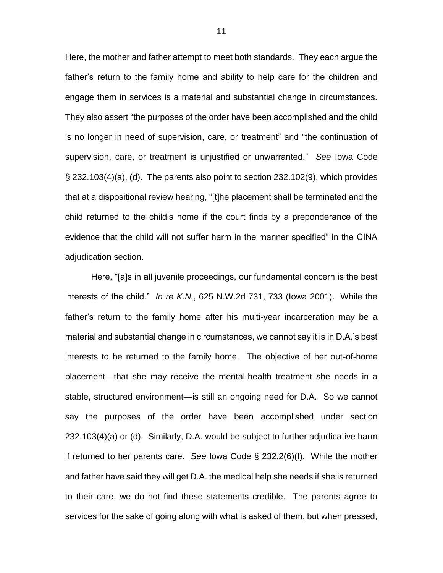Here, the mother and father attempt to meet both standards. They each argue the father's return to the family home and ability to help care for the children and engage them in services is a material and substantial change in circumstances. They also assert "the purposes of the order have been accomplished and the child is no longer in need of supervision, care, or treatment" and "the continuation of supervision, care, or treatment is unjustified or unwarranted." *See* Iowa Code § 232.103(4)(a), (d). The parents also point to section 232.102(9), which provides that at a dispositional review hearing, "[t]he placement shall be terminated and the child returned to the child's home if the court finds by a preponderance of the evidence that the child will not suffer harm in the manner specified" in the CINA adjudication section.

Here, "[a]s in all juvenile proceedings, our fundamental concern is the best interests of the child." *In re K.N.*, 625 N.W.2d 731, 733 (Iowa 2001). While the father's return to the family home after his multi-year incarceration may be a material and substantial change in circumstances, we cannot say it is in D.A.'s best interests to be returned to the family home. The objective of her out-of-home placement—that she may receive the mental-health treatment she needs in a stable, structured environment—is still an ongoing need for D.A. So we cannot say the purposes of the order have been accomplished under section 232.103(4)(a) or (d). Similarly, D.A. would be subject to further adjudicative harm if returned to her parents care. *See* Iowa Code § 232.2(6)(f). While the mother and father have said they will get D.A. the medical help she needs if she is returned to their care, we do not find these statements credible. The parents agree to services for the sake of going along with what is asked of them, but when pressed,